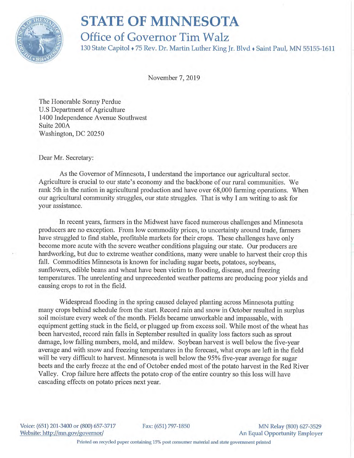

## **STATE OF MINNESOTA**

## Office of Governor Tim Walz

130 State Capitol ♦ 75 Rev. Dr. Martin Luther King Jr. Blvd ♦ Saint Paul, MN 55155-1611

November 7, 2019

The Honorable Sonny Perdue U.S Department of Agriculture 1400 Independence Avenue Southwest Suite 200A Washington, DC 20250

Dear Mr. Secretary:

As the Governor of Minnesota, I understand the importance our agricultural sector. Agriculture is crucial to our state's economy and the backbone of our rural communities. We rank 5th in the nation in agricultural production and have over 68,000 farming operations. When our agricultural community struggles, our state struggles. That is why I am writing to ask for your assistance.

In recent years, farmers in the Midwest have faced numerous challenges and Minnesota producers are no exception. From low commodity prices, to uncertainty around trade, farmers have struggled to find stable, profitable markets for their crops. These challenges have only become more acute with the severe weather conditions plaguing our state. Our producers are hardworking, but due to extreme weather conditions, many were unable to harvest their crop this fall. Commodities Minnesota is known for including sugar beets, potatoes, soybeans, sunflowers, edible beans and wheat have been victim to flooding, disease, and freezing temperatures. The unrelenting and unprecedented weather patterns are producing poor yields and causing crops to rot in the field.

Widespread flooding in the spring caused delayed planting across Minnesota putting many crops behind schedule from the start. Record rain and snow in October resulted in surplus soil moisture every week of the month. Fields became unworkable and impassable, with equipment getting stuck in the field, or plugged up from excess soil. While most of the wheat has been harvested, record rain falls in September resulted in quality loss factors such as sprout damage, low falling numbers, mold, and mildew. Soybean harvest is well below the five-year average and with snow and freezing temperatures in the forecast, what crops are left in the field will be very difficult to harvest. Minnesota is well below the 95% five-year average for sugar beets and the early freeze at the end of October ended most of the potato harvest in the Red River Valley. Crop failure here affects the potato crop of the entire country so this loss will have cascading effects on potato prices next year.

Voice: (651) 201-3400 or (800) 657-3717 Fax: (651) 797-1850 MM Relay (800) 627-3529 Website: http://mn.gov/governor/ An Equal Opportunity Employer

Printed on recycled paper containing 15% post consumer material and state government printed